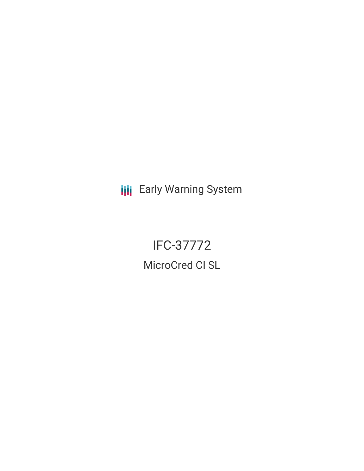**III** Early Warning System

# IFC-37772

MicroCred CI SL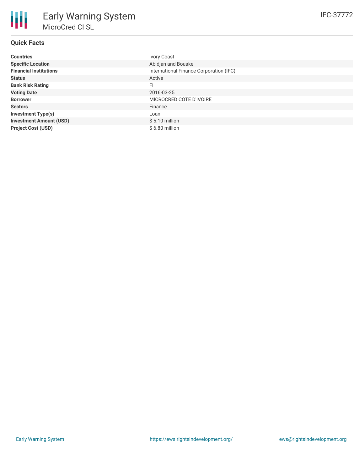## **Quick Facts**

| <b>Countries</b>               | <b>Ivory Coast</b>                      |
|--------------------------------|-----------------------------------------|
| <b>Specific Location</b>       | Abidjan and Bouake                      |
| <b>Financial Institutions</b>  | International Finance Corporation (IFC) |
| <b>Status</b>                  | Active                                  |
| <b>Bank Risk Rating</b>        | FI                                      |
| <b>Voting Date</b>             | 2016-03-25                              |
| <b>Borrower</b>                | MICROCRED COTE D'IVOIRE                 |
| <b>Sectors</b>                 | Finance                                 |
| <b>Investment Type(s)</b>      | ∟oan                                    |
| <b>Investment Amount (USD)</b> | $$5.10$ million                         |
| <b>Project Cost (USD)</b>      | \$6.80 million                          |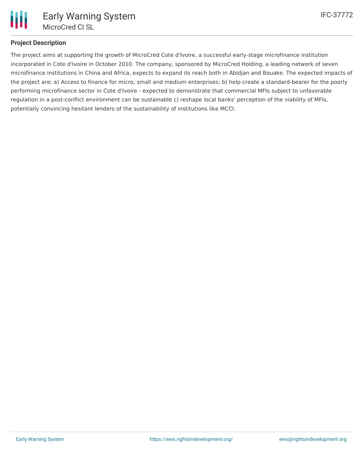

### **Project Description**

The project aims at supporting the growth of MicroCred Cote d'Ivoire, a successful early-stage microfinance institution incorporated in Cote d'Ivoire in October 2010. The company, sponsored by MicroCred Holding, a leading network of seven microfinance institutions in China and Africa, expects to expand its reach both in Abidjan and Bouake. The expected impacts of the project are; a) Access to finance for micro, small and medium enterprises; b) help create a standard-bearer for the poorly performing microfinance sector in Cote d'Ivoire - expected to demonstrate that commercial MFIs subject to unfavorable regulation in a post-conflict environment can be sustainable c) reshape local banks' perception of the viability of MFIs, potentially convincing hesitant lenders of the sustainability of institutions like MCCI.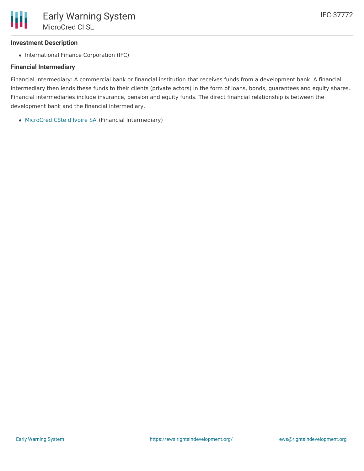#### **Investment Description**

• International Finance Corporation (IFC)

### **Financial Intermediary**

Financial Intermediary: A commercial bank or financial institution that receives funds from a development bank. A financial intermediary then lends these funds to their clients (private actors) in the form of loans, bonds, guarantees and equity shares. Financial intermediaries include insurance, pension and equity funds. The direct financial relationship is between the development bank and the financial intermediary.

[MicroCred](file:///actor/157/) Côte d'Ivoire SA (Financial Intermediary)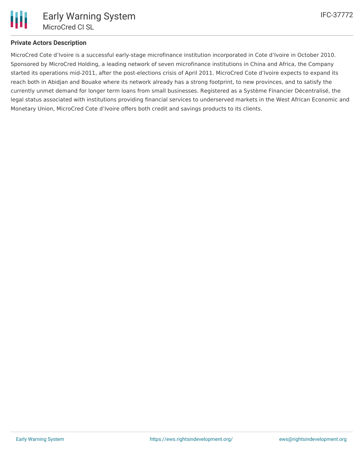

#### **Private Actors Description**

MicroCred Cote d'Ivoire is a successful early-stage microfinance institution incorporated in Cote d'Ivoire in October 2010. Sponsored by MicroCred Holding, a leading network of seven microfinance institutions in China and Africa, the Company started its operations mid-2011, after the post-elections crisis of April 2011. MicroCred Cote d'Ivoire expects to expand its reach both in Abidjan and Bouake where its network already has a strong footprint, to new provinces, and to satisfy the currently unmet demand for longer term loans from small businesses. Registered as a Système Financier Décentralisé, the legal status associated with institutions providing financial services to underserved markets in the West African Economic and Monetary Union, MicroCred Cote d'Ivoire offers both credit and savings products to its clients.